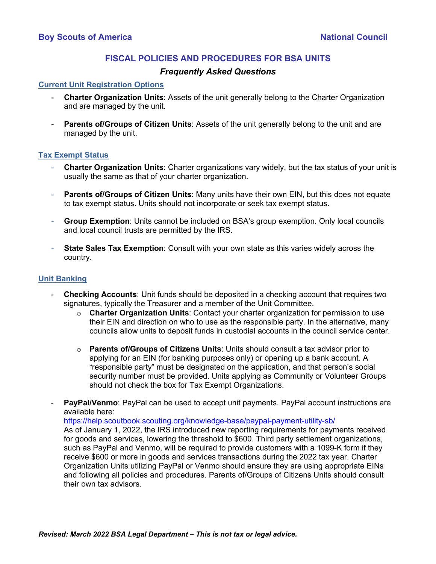# **FISCAL POLICIES AND PROCEDURES FOR BSA UNITS**

## *Frequently Asked Questions*

#### **Current Unit Registration Options**

- **Charter Organization Units**: Assets of the unit generally belong to the Charter Organization and are managed by the unit.
- **Parents of/Groups of Citizen Units:** Assets of the unit generally belong to the unit and are managed by the unit.

#### **Tax Exempt Status**

- **Charter Organization Units**: Charter organizations vary widely, but the tax status of your unit is usually the same as that of your charter organization.
- **Parents of/Groups of Citizen Units: Many units have their own EIN, but this does not equate** to tax exempt status. Units should not incorporate or seek tax exempt status.
- **Group Exemption**: Units cannot be included on BSA's group exemption. Only local councils and local council trusts are permitted by the IRS.
- **State Sales Tax Exemption**: Consult with your own state as this varies widely across the country.

## **Unit Banking**

- **Checking Accounts:** Unit funds should be deposited in a checking account that requires two signatures, typically the Treasurer and a member of the Unit Committee.
	- o **Charter Organization Units**: Contact your charter organization for permission to use their EIN and direction on who to use as the responsible party. In the alternative, many councils allow units to deposit funds in custodial accounts in the council service center.
	- o **Parents of/Groups of Citizens Units**: Units should consult a tax advisor prior to applying for an EIN (for banking purposes only) or opening up a bank account. A "responsible party" must be designated on the application, and that person's social security number must be provided. Units applying as Community or Volunteer Groups should not check the box for Tax Exempt Organizations.
- PayPal/Venmo: PayPal can be used to accept unit payments. PayPal account instructions are available here: https://help.scoutbook.scouting.org/knowledge-base/paypal-payment-utility-sb/

As of January 1, 2022, the IRS introduced [new reporting requirements](https://help.scoutbook.scouting.org/knowledge-base/paypal-payment-utility-sb/) for payments received for goods and services, lowering the threshold to \$600. Third party settlement organizations, such as PayPal and Venmo, will be required to provide customers with a 1099-K form if they receive \$600 or more in goods and services transactions during the 2022 tax year. Charter Organization Units utilizing PayPal or Venmo should ensure they are using appropriate EINs and following all policies and procedures. Parents of/Groups of Citizens Units should consult their own tax advisors.